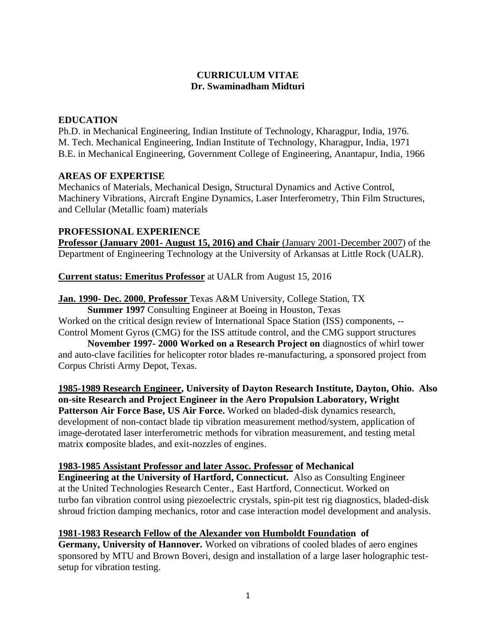## **CURRICULUM VITAE Dr. Swaminadham Midturi**

### **EDUCATION**

Ph.D. in Mechanical Engineering, Indian Institute of Technology, Kharagpur, India, 1976. M. Tech. Mechanical Engineering, Indian Institute of Technology, Kharagpur, India, 1971 B.E. in Mechanical Engineering, Government College of Engineering, Anantapur, India, 1966

### **AREAS OF EXPERTISE**

Mechanics of Materials, Mechanical Design, Structural Dynamics and Active Control, Machinery Vibrations, Aircraft Engine Dynamics, Laser Interferometry, Thin Film Structures, and Cellular (Metallic foam) materials

### **PROFESSIONAL EXPERIENCE**

**Professor (January 2001- August 15, 2016) and Chair** (January 2001-December 2007) of the Department of Engineering Technology at the University of Arkansas at Little Rock (UALR).

**Current status: Emeritus Professor** at UALR from August 15, 2016

**Jan. 1990- Dec. 2000**, **Professor** Texas A&M University, College Station, TX

**Summer 1997** Consulting Engineer at Boeing in Houston, Texas Worked on the critical design review of International Space Station (ISS) components, -- Control Moment Gyros (CMG) for the ISS attitude control, and the CMG support structures

**November 1997- 2000 Worked on a Research Project on** diagnostics of whirl tower and auto-clave facilities for helicopter rotor blades re-manufacturing, a sponsored project from Corpus Christi Army Depot, Texas.

**1985-1989 Research Engineer, University of Dayton Research Institute, Dayton, Ohio. Also on-site Research and Project Engineer in the Aero Propulsion Laboratory, Wright Patterson Air Force Base, US Air Force.** Worked on bladed-disk dynamics research, development of non-contact blade tip vibration measurement method/system, application of image-derotated laser interferometric methods for vibration measurement, and testing metal matrix **c**omposite blades, and exit-nozzles of engines.

### **1983-1985 Assistant Professor and later Assoc. Professor of Mechanical**

**Engineering at the University of Hartford, Connecticut.** Also as Consulting Engineer at the United Technologies Research Center., East Hartford, Connecticut. Worked on turbo fan vibration control using piezoelectric crystals, spin-pit test rig diagnostics, bladed-disk shroud friction damping mechanics, rotor and case interaction model development and analysis.

## **1981-1983 Research Fellow of the Alexander von Humboldt Foundation of**

**Germany, University of Hannover.** Worked on vibrations of cooled blades of aero engines sponsored by MTU and Brown Boveri, design and installation of a large laser holographic testsetup for vibration testing.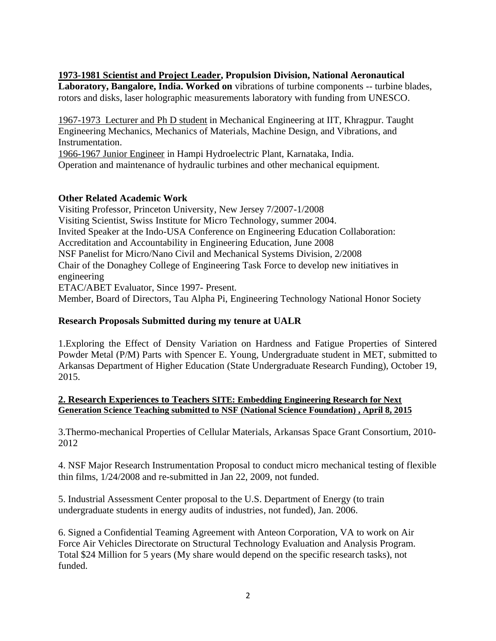**1973-1981 Scientist and Project Leader, Propulsion Division, National Aeronautical Laboratory, Bangalore, India. Worked on** vibrations of turbine components -- turbine blades, rotors and disks, laser holographic measurements laboratory with funding from UNESCO.

1967-1973 Lecturer and Ph D student in Mechanical Engineering at IIT, Khragpur. Taught Engineering Mechanics, Mechanics of Materials, Machine Design, and Vibrations, and Instrumentation.

1966-1967 Junior Engineer in Hampi Hydroelectric Plant, Karnataka, India.

Operation and maintenance of hydraulic turbines and other mechanical equipment.

## **Other Related Academic Work**

Visiting Professor, Princeton University, New Jersey 7/2007-1/2008 Visiting Scientist, Swiss Institute for Micro Technology, summer 2004. Invited Speaker at the Indo-USA Conference on Engineering Education Collaboration: Accreditation and Accountability in Engineering Education, June 2008 NSF Panelist for Micro/Nano Civil and Mechanical Systems Division, 2/2008 Chair of the Donaghey College of Engineering Task Force to develop new initiatives in engineering ETAC/ABET Evaluator, Since 1997- Present.

Member, Board of Directors, Tau Alpha Pi, Engineering Technology National Honor Society

### **Research Proposals Submitted during my tenure at UALR**

1.Exploring the Effect of Density Variation on Hardness and Fatigue Properties of Sintered Powder Metal (P/M) Parts with Spencer E. Young, Undergraduate student in MET, submitted to Arkansas Department of Higher Education (State Undergraduate Research Funding), October 19, 2015.

### **2. Research Experiences to Teachers SITE: Embedding Engineering Research for Next Generation Science Teaching submitted to NSF (National Science Foundation) , April 8, 2015**

3.Thermo-mechanical Properties of Cellular Materials, Arkansas Space Grant Consortium, 2010- 2012

4. NSF Major Research Instrumentation Proposal to conduct micro mechanical testing of flexible thin films, 1/24/2008 and re-submitted in Jan 22, 2009, not funded.

5. Industrial Assessment Center proposal to the U.S. Department of Energy (to train undergraduate students in energy audits of industries, not funded), Jan. 2006.

6. Signed a Confidential Teaming Agreement with Anteon Corporation, VA to work on Air Force Air Vehicles Directorate on Structural Technology Evaluation and Analysis Program. Total \$24 Million for 5 years (My share would depend on the specific research tasks), not funded.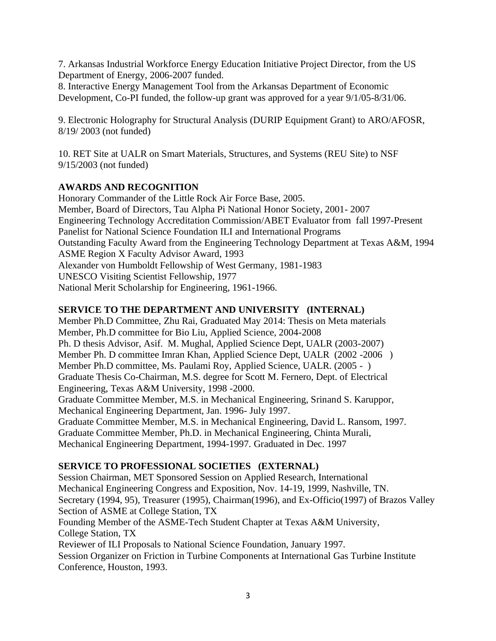7. Arkansas Industrial Workforce Energy Education Initiative Project Director, from the US Department of Energy, 2006-2007 funded.

8. Interactive Energy Management Tool from the Arkansas Department of Economic Development, Co-PI funded, the follow-up grant was approved for a year 9/1/05-8/31/06.

9. Electronic Holography for Structural Analysis (DURIP Equipment Grant) to ARO/AFOSR, 8/19/ 2003 (not funded)

10. RET Site at UALR on Smart Materials, Structures, and Systems (REU Site) to NSF 9/15/2003 (not funded)

# **AWARDS AND RECOGNITION**

Honorary Commander of the Little Rock Air Force Base, 2005. Member, Board of Directors, Tau Alpha Pi National Honor Society, 2001- 2007 Engineering Technology Accreditation Commission/ABET Evaluator from fall 1997-Present Panelist for National Science Foundation ILI and International Programs Outstanding Faculty Award from the Engineering Technology Department at Texas A&M, 1994 ASME Region X Faculty Advisor Award, 1993 Alexander von Humboldt Fellowship of West Germany, 1981-1983 UNESCO Visiting Scientist Fellowship, 1977 National Merit Scholarship for Engineering, 1961-1966.

# **SERVICE TO THE DEPARTMENT AND UNIVERSITY (INTERNAL)**

Member Ph.D Committee, Zhu Rai, Graduated May 2014: Thesis on Meta materials Member, Ph.D committee for Bio Liu, Applied Science, 2004-2008 Ph. D thesis Advisor, Asif. M. Mughal, Applied Science Dept, UALR (2003-2007) Member Ph. D committee Imran Khan, Applied Science Dept, UALR (2002 -2006 ) Member Ph.D committee, Ms. Paulami Roy, Applied Science, UALR. (2005 - ) Graduate Thesis Co-Chairman, M.S. degree for Scott M. Fernero, Dept. of Electrical Engineering, Texas A&M University, 1998 -2000. Graduate Committee Member, M.S. in Mechanical Engineering, Srinand S. Karuppor, Mechanical Engineering Department, Jan. 1996- July 1997. Graduate Committee Member, M.S. in Mechanical Engineering, David L. Ransom, 1997. Graduate Committee Member, Ph.D. in Mechanical Engineering, Chinta Murali, Mechanical Engineering Department, 1994-1997. Graduated in Dec. 1997

## **SERVICE TO PROFESSIONAL SOCIETIES (EXTERNAL)**

Session Chairman, MET Sponsored Session on Applied Research, International Mechanical Engineering Congress and Exposition, Nov. 14-19, 1999, Nashville, TN. Secretary (1994, 95), Treasurer (1995), Chairman(1996), and Ex-Officio(1997) of Brazos Valley Section of ASME at College Station, TX

Founding Member of the ASME-Tech Student Chapter at Texas A&M University, College Station, TX

Reviewer of ILI Proposals to National Science Foundation, January 1997.

Session Organizer on Friction in Turbine Components at International Gas Turbine Institute Conference, Houston, 1993.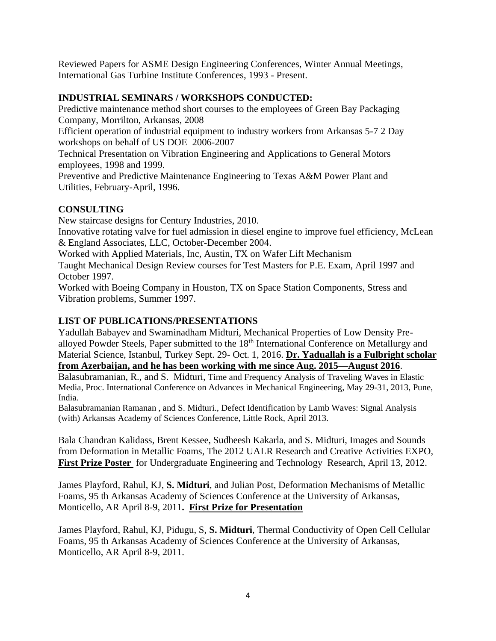Reviewed Papers for ASME Design Engineering Conferences, Winter Annual Meetings, International Gas Turbine Institute Conferences, 1993 - Present.

## **INDUSTRIAL SEMINARS / WORKSHOPS CONDUCTED:**

Predictive maintenance method short courses to the employees of Green Bay Packaging Company, Morrilton, Arkansas, 2008

Efficient operation of industrial equipment to industry workers from Arkansas 5-7 2 Day workshops on behalf of US DOE 2006-2007

Technical Presentation on Vibration Engineering and Applications to General Motors employees, 1998 and 1999.

Preventive and Predictive Maintenance Engineering to Texas A&M Power Plant and Utilities, February-April, 1996.

# **CONSULTING**

New staircase designs for Century Industries, 2010.

Innovative rotating valve for fuel admission in diesel engine to improve fuel efficiency, McLean & England Associates, LLC, October-December 2004.

Worked with Applied Materials, Inc, Austin, TX on Wafer Lift Mechanism

Taught Mechanical Design Review courses for Test Masters for P.E. Exam, April 1997 and October 1997.

Worked with Boeing Company in Houston, TX on Space Station Components, Stress and Vibration problems, Summer 1997.

## **LIST OF PUBLICATIONS/PRESENTATIONS**

Yadullah Babayev and Swaminadham Midturi, Mechanical Properties of Low Density Prealloyed Powder Steels, Paper submitted to the 18th International Conference on Metallurgy and Material Science, Istanbul, Turkey Sept. 29- Oct. 1, 2016. **Dr. Yaduallah is a Fulbright scholar from Azerbaijan, and he has been working with me since Aug. 2015—August 2016**.

Balasubramanian, R., and S. Midturi, Time and Frequency Analysis of Traveling Waves in Elastic Media, Proc. International Conference on Advances in Mechanical Engineering, May 29-31, 2013, Pune, India.

Balasubramanian Ramanan , and S. Midturi., Defect Identification by Lamb Waves: Signal Analysis (with) Arkansas Academy of Sciences Conference, Little Rock, April 2013.

Bala Chandran Kalidass, Brent Kessee, Sudheesh Kakarla, and S. Midturi, Images and Sounds from Deformation in Metallic Foams, The 2012 UALR Research and Creative Activities EXPO, **First Prize Poster** for Undergraduate Engineering and Technology Research, April 13, 2012.

James Playford, Rahul, KJ, **S. Midturi**, and Julian Post, Deformation Mechanisms of Metallic Foams, 95 th Arkansas Academy of Sciences Conference at the University of Arkansas, Monticello, AR April 8-9, 2011**. First Prize for Presentation**

James Playford, Rahul, KJ, Pidugu, S, **S. Midturi**, Thermal Conductivity of Open Cell Cellular Foams, 95 th Arkansas Academy of Sciences Conference at the University of Arkansas, Monticello, AR April 8-9, 2011.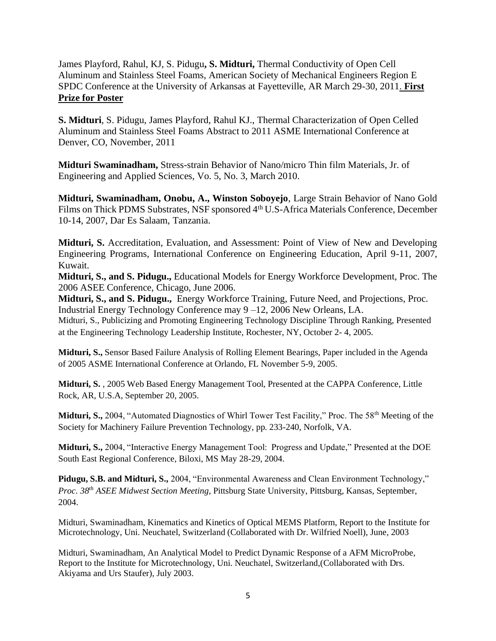James Playford, Rahul, KJ, S. Pidugu**, S. Midturi,** Thermal Conductivity of Open Cell Aluminum and Stainless Steel Foams, American Society of Mechanical Engineers Region E SPDC Conference at the University of Arkansas at Fayetteville, AR March 29-30, 2011. **First Prize for Poster** 

**S. Midturi**, S. Pidugu, James Playford, Rahul KJ., Thermal Characterization of Open Celled Aluminum and Stainless Steel Foams Abstract to 2011 ASME International Conference at Denver, CO, November, 2011

**Midturi Swaminadham,** Stress-strain Behavior of Nano/micro Thin film Materials, Jr. of Engineering and Applied Sciences, Vo. 5, No. 3, March 2010.

**Midturi, Swaminadham, Onobu, A., Winston Soboyejo**, Large Strain Behavior of Nano Gold Films on Thick PDMS Substrates, NSF sponsored 4<sup>th</sup> U.S-Africa Materials Conference, December 10-14, 2007, Dar Es Salaam, Tanzania.

**Midturi, S.** Accreditation, Evaluation, and Assessment: Point of View of New and Developing Engineering Programs, International Conference on Engineering Education, April 9-11, 2007, Kuwait.

**Midturi, S., and S. Pidugu.,** Educational Models for Energy Workforce Development, Proc. The 2006 ASEE Conference, Chicago, June 2006.

**Midturi, S., and S. Pidugu.,** Energy Workforce Training, Future Need, and Projections, Proc. Industrial Energy Technology Conference may 9 –12, 2006 New Orleans, LA.

Midturi, S., Publicizing and Promoting Engineering Technology Discipline Through Ranking, Presented at the Engineering Technology Leadership Institute, Rochester, NY, October 2- 4, 2005.

**Midturi, S.,** Sensor Based Failure Analysis of Rolling Element Bearings, Paper included in the Agenda of 2005 ASME International Conference at Orlando, FL November 5-9, 2005.

**Midturi, S.** , 2005 Web Based Energy Management Tool, Presented at the CAPPA Conference, Little Rock, AR, U.S.A, September 20, 2005.

**Midturi, S.,** 2004, "Automated Diagnostics of Whirl Tower Test Facility," Proc. The 58<sup>th</sup> Meeting of the Society for Machinery Failure Prevention Technology, pp. 233-240, Norfolk, VA.

**Midturi, S.,** 2004, "Interactive Energy Management Tool: Progress and Update," Presented at the DOE South East Regional Conference, Biloxi, MS May 28-29, 2004.

**Pidugu, S.B. and Midturi, S.,** 2004, "Environmental Awareness and Clean Environment Technology," *Proc. 38th ASEE Midwest Section Meeting*, Pittsburg State University, Pittsburg, Kansas, September, 2004.

Midturi, Swaminadham, Kinematics and Kinetics of Optical MEMS Platform, Report to the Institute for Microtechnology, Uni. Neuchatel, Switzerland (Collaborated with Dr. Wilfried Noell), June, 2003

Midturi, Swaminadham, An Analytical Model to Predict Dynamic Response of a AFM MicroProbe, Report to the Institute for Microtechnology, Uni. Neuchatel, Switzerland,(Collaborated with Drs. Akiyama and Urs Staufer), July 2003.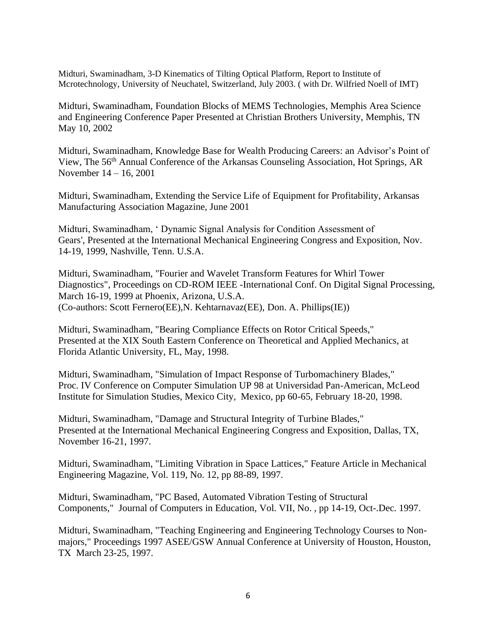Midturi, Swaminadham, 3-D Kinematics of Tilting Optical Platform, Report to Institute of Mcrotechnology, University of Neuchatel, Switzerland, July 2003. ( with Dr. Wilfried Noell of IMT)

Midturi, Swaminadham, Foundation Blocks of MEMS Technologies, Memphis Area Science and Engineering Conference Paper Presented at Christian Brothers University, Memphis, TN May 10, 2002

Midturi, Swaminadham, Knowledge Base for Wealth Producing Careers: an Advisor's Point of View, The 56th Annual Conference of the Arkansas Counseling Association, Hot Springs, AR November 14 – 16, 2001

Midturi, Swaminadham, Extending the Service Life of Equipment for Profitability, Arkansas Manufacturing Association Magazine, June 2001

Midturi, Swaminadham, ' Dynamic Signal Analysis for Condition Assessment of Gears', Presented at the International Mechanical Engineering Congress and Exposition, Nov. 14-19, 1999, Nashville, Tenn. U.S.A.

Midturi, Swaminadham, "Fourier and Wavelet Transform Features for Whirl Tower Diagnostics", Proceedings on CD-ROM IEEE -International Conf. On Digital Signal Processing, March 16-19, 1999 at Phoenix, Arizona, U.S.A. (Co-authors: Scott Fernero(EE),N. Kehtarnavaz(EE), Don. A. Phillips(IE))

Midturi, Swaminadham, "Bearing Compliance Effects on Rotor Critical Speeds," Presented at the XIX South Eastern Conference on Theoretical and Applied Mechanics, at Florida Atlantic University, FL, May, 1998.

Midturi, Swaminadham, "Simulation of Impact Response of Turbomachinery Blades," Proc. IV Conference on Computer Simulation UP 98 at Universidad Pan-American, McLeod Institute for Simulation Studies, Mexico City, Mexico, pp 60-65, February 18-20, 1998.

Midturi, Swaminadham, "Damage and Structural Integrity of Turbine Blades," Presented at the International Mechanical Engineering Congress and Exposition, Dallas, TX, November 16-21, 1997.

Midturi, Swaminadham, "Limiting Vibration in Space Lattices," Feature Article in Mechanical Engineering Magazine, Vol. 119, No. 12, pp 88-89, 1997.

Midturi, Swaminadham, "PC Based, Automated Vibration Testing of Structural Components," Journal of Computers in Education, Vol. VII, No. , pp 14-19, Oct-.Dec. 1997.

Midturi, Swaminadham, "Teaching Engineering and Engineering Technology Courses to Nonmajors," Proceedings 1997 ASEE/GSW Annual Conference at University of Houston, Houston, TX March 23-25, 1997.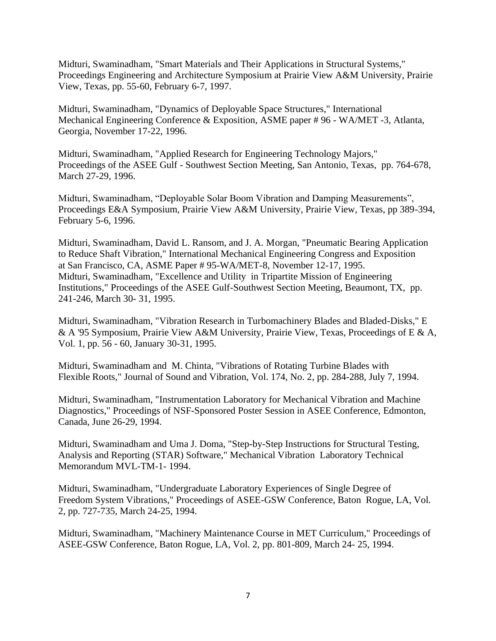Midturi, Swaminadham, "Smart Materials and Their Applications in Structural Systems," Proceedings Engineering and Architecture Symposium at Prairie View A&M University, Prairie View, Texas, pp. 55-60, February 6-7, 1997.

Midturi, Swaminadham, "Dynamics of Deployable Space Structures," International Mechanical Engineering Conference & Exposition, ASME paper # 96 - WA/MET -3, Atlanta, Georgia, November 17-22, 1996.

Midturi, Swaminadham, "Applied Research for Engineering Technology Majors," Proceedings of the ASEE Gulf - Southwest Section Meeting, San Antonio, Texas, pp. 764-678, March 27-29, 1996.

Midturi, Swaminadham, "Deployable Solar Boom Vibration and Damping Measurements", Proceedings E&A Symposium, Prairie View A&M University, Prairie View, Texas, pp 389-394, February 5-6, 1996.

Midturi, Swaminadham, David L. Ransom, and J. A. Morgan, "Pneumatic Bearing Application to Reduce Shaft Vibration," International Mechanical Engineering Congress and Exposition at San Francisco, CA, ASME Paper # 95-WA/MET-8, November 12-17, 1995. Midturi, Swaminadham, "Excellence and Utility in Tripartite Mission of Engineering Institutions," Proceedings of the ASEE Gulf-Southwest Section Meeting, Beaumont, TX, pp. 241-246, March 30- 31, 1995.

Midturi, Swaminadham, "Vibration Research in Turbomachinery Blades and Bladed-Disks," E & A '95 Symposium, Prairie View A&M University, Prairie View, Texas, Proceedings of E & A, Vol. 1, pp. 56 - 60, January 30-31, 1995.

Midturi, Swaminadham and M. Chinta, "Vibrations of Rotating Turbine Blades with Flexible Roots," Journal of Sound and Vibration, Vol. 174, No. 2, pp. 284-288, July 7, 1994.

Midturi, Swaminadham, "Instrumentation Laboratory for Mechanical Vibration and Machine Diagnostics," Proceedings of NSF-Sponsored Poster Session in ASEE Conference, Edmonton, Canada, June 26-29, 1994.

Midturi, Swaminadham and Uma J. Doma, "Step-by-Step Instructions for Structural Testing, Analysis and Reporting (STAR) Software," Mechanical Vibration Laboratory Technical Memorandum MVL-TM-1- 1994.

Midturi, Swaminadham, "Undergraduate Laboratory Experiences of Single Degree of Freedom System Vibrations," Proceedings of ASEE-GSW Conference, Baton Rogue, LA, Vol. 2, pp. 727-735, March 24-25, 1994.

Midturi, Swaminadham, "Machinery Maintenance Course in MET Curriculum," Proceedings of ASEE-GSW Conference, Baton Rogue, LA, Vol. 2, pp. 801-809, March 24- 25, 1994.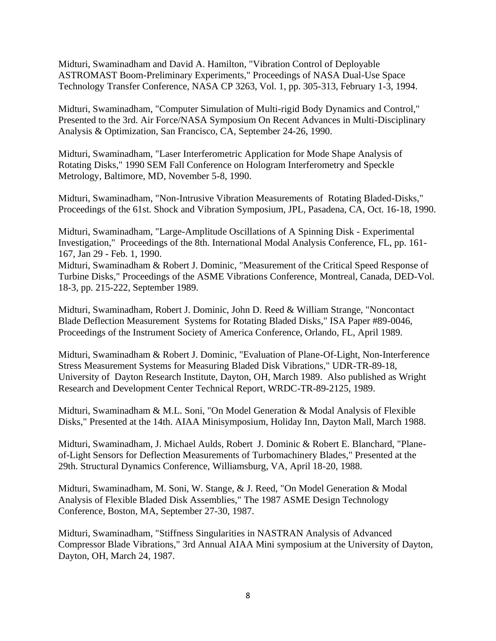Midturi, Swaminadham and David A. Hamilton, "Vibration Control of Deployable ASTROMAST Boom-Preliminary Experiments," Proceedings of NASA Dual-Use Space Technology Transfer Conference, NASA CP 3263, Vol. 1, pp. 305-313, February 1-3, 1994.

Midturi, Swaminadham, "Computer Simulation of Multi-rigid Body Dynamics and Control," Presented to the 3rd. Air Force/NASA Symposium On Recent Advances in Multi-Disciplinary Analysis & Optimization, San Francisco, CA, September 24-26, 1990.

Midturi, Swaminadham, "Laser Interferometric Application for Mode Shape Analysis of Rotating Disks," 1990 SEM Fall Conference on Hologram Interferometry and Speckle Metrology, Baltimore, MD, November 5-8, 1990.

Midturi, Swaminadham, "Non-Intrusive Vibration Measurements of Rotating Bladed-Disks," Proceedings of the 61st. Shock and Vibration Symposium, JPL, Pasadena, CA, Oct. 16-18, 1990.

Midturi, Swaminadham, "Large-Amplitude Oscillations of A Spinning Disk - Experimental Investigation," Proceedings of the 8th. International Modal Analysis Conference, FL, pp. 161- 167, Jan 29 - Feb. 1, 1990.

Midturi, Swaminadham & Robert J. Dominic, "Measurement of the Critical Speed Response of Turbine Disks," Proceedings of the ASME Vibrations Conference, Montreal, Canada, DED-Vol. 18-3, pp. 215-222, September 1989.

Midturi, Swaminadham, Robert J. Dominic, John D. Reed & William Strange, "Noncontact Blade Deflection Measurement Systems for Rotating Bladed Disks," ISA Paper #89-0046, Proceedings of the Instrument Society of America Conference, Orlando, FL, April 1989.

Midturi, Swaminadham & Robert J. Dominic, "Evaluation of Plane-Of-Light, Non-Interference Stress Measurement Systems for Measuring Bladed Disk Vibrations," UDR-TR-89-18, University of Dayton Research Institute, Dayton, OH, March 1989. Also published as Wright Research and Development Center Technical Report, WRDC-TR-89-2125, 1989.

Midturi, Swaminadham & M.L. Soni, "On Model Generation & Modal Analysis of Flexible Disks," Presented at the 14th. AIAA Minisymposium, Holiday Inn, Dayton Mall, March 1988.

Midturi, Swaminadham, J. Michael Aulds, Robert J. Dominic & Robert E. Blanchard, "Planeof-Light Sensors for Deflection Measurements of Turbomachinery Blades," Presented at the 29th. Structural Dynamics Conference, Williamsburg, VA, April 18-20, 1988.

Midturi, Swaminadham, M. Soni, W. Stange, & J. Reed, "On Model Generation & Modal Analysis of Flexible Bladed Disk Assemblies," The 1987 ASME Design Technology Conference, Boston, MA, September 27-30, 1987.

Midturi, Swaminadham, "Stiffness Singularities in NASTRAN Analysis of Advanced Compressor Blade Vibrations," 3rd Annual AIAA Mini symposium at the University of Dayton, Dayton, OH, March 24, 1987.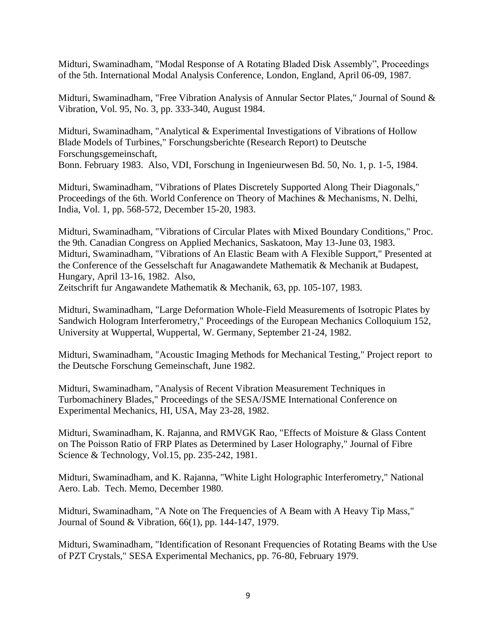Midturi, Swaminadham, "Modal Response of A Rotating Bladed Disk Assembly", Proceedings of the 5th. International Modal Analysis Conference, London, England, April 06-09, 1987.

Midturi, Swaminadham, "Free Vibration Analysis of Annular Sector Plates," Journal of Sound & Vibration, Vol. 95, No. 3, pp. 333-340, August 1984.

Midturi, Swaminadham, "Analytical & Experimental Investigations of Vibrations of Hollow Blade Models of Turbines," Forschungsberichte (Research Report) to Deutsche Forschungsgemeinschaft, Bonn. February 1983. Also, VDI, Forschung in Ingenieurwesen Bd. 50, No. 1, p. 1-5, 1984.

Midturi, Swaminadham, "Vibrations of Plates Discretely Supported Along Their Diagonals," Proceedings of the 6th. World Conference on Theory of Machines & Mechanisms, N. Delhi, India, Vol. 1, pp. 568-572, December 15-20, 1983.

Midturi, Swaminadham, "Vibrations of Circular Plates with Mixed Boundary Conditions," Proc. the 9th. Canadian Congress on Applied Mechanics, Saskatoon, May 13-June 03, 1983. Midturi, Swaminadham, "Vibrations of An Elastic Beam with A Flexible Support," Presented at the Conference of the Gesselschaft fur Anagawandete Mathematik & Mechanik at Budapest, Hungary, April 13-16, 1982. Also, Zeitschrift fur Angawandete Mathematik & Mechanik, 63, pp. 105-107, 1983.

Midturi, Swaminadham, "Large Deformation Whole-Field Measurements of Isotropic Plates by Sandwich Hologram Interferometry," Proceedings of the European Mechanics Colloquium 152, University at Wuppertal, Wuppertal, W. Germany, September 21-24, 1982.

Midturi, Swaminadham, "Acoustic Imaging Methods for Mechanical Testing," Project report to the Deutsche Forschung Gemeinschaft, June 1982.

Midturi, Swaminadham, "Analysis of Recent Vibration Measurement Techniques in Turbomachinery Blades," Proceedings of the SESA/JSME International Conference on Experimental Mechanics, HI, USA, May 23-28, 1982.

Midturi, Swaminadham, K. Rajanna, and RMVGK Rao, "Effects of Moisture & Glass Content on The Poisson Ratio of FRP Plates as Determined by Laser Holography," Journal of Fibre Science & Technology, Vol.15, pp. 235-242, 1981.

Midturi, Swaminadham, and K. Rajanna, "White Light Holographic Interferometry," National Aero. Lab. Tech. Memo, December 1980.

Midturi, Swaminadham, "A Note on The Frequencies of A Beam with A Heavy Tip Mass," Journal of Sound & Vibration, 66(1), pp. 144-147, 1979.

Midturi, Swaminadham, "Identification of Resonant Frequencies of Rotating Beams with the Use of PZT Crystals," SESA Experimental Mechanics, pp. 76-80, February 1979.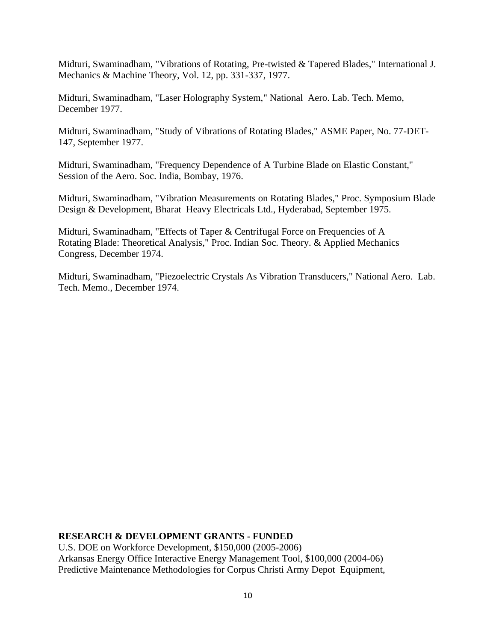Midturi, Swaminadham, "Vibrations of Rotating, Pre-twisted & Tapered Blades," International J. Mechanics & Machine Theory, Vol. 12, pp. 331-337, 1977.

Midturi, Swaminadham, "Laser Holography System," National Aero. Lab. Tech. Memo, December 1977.

Midturi, Swaminadham, "Study of Vibrations of Rotating Blades," ASME Paper, No. 77-DET-147, September 1977.

Midturi, Swaminadham, "Frequency Dependence of A Turbine Blade on Elastic Constant," Session of the Aero. Soc. India, Bombay, 1976.

Midturi, Swaminadham, "Vibration Measurements on Rotating Blades," Proc. Symposium Blade Design & Development, Bharat Heavy Electricals Ltd., Hyderabad, September 1975.

Midturi, Swaminadham, "Effects of Taper & Centrifugal Force on Frequencies of A Rotating Blade: Theoretical Analysis," Proc. Indian Soc. Theory. & Applied Mechanics Congress, December 1974.

Midturi, Swaminadham, "Piezoelectric Crystals As Vibration Transducers," National Aero. Lab. Tech. Memo., December 1974.

### **RESEARCH & DEVELOPMENT GRANTS - FUNDED**

U.S. DOE on Workforce Development, \$150,000 (2005-2006) Arkansas Energy Office Interactive Energy Management Tool, \$100,000 (2004-06) Predictive Maintenance Methodologies for Corpus Christi Army Depot Equipment,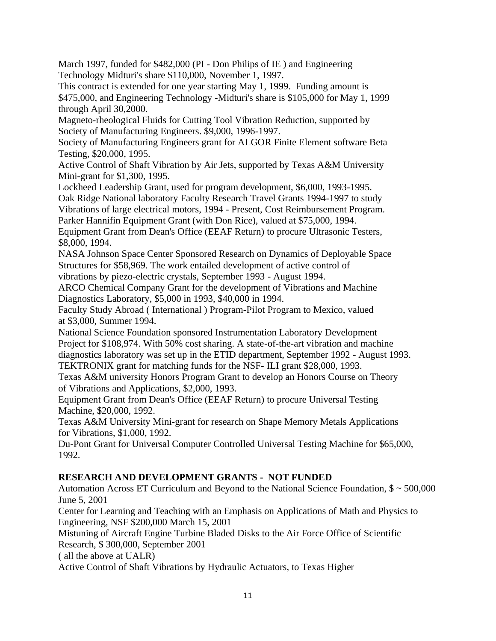March 1997, funded for \$482,000 (PI - Don Philips of IE ) and Engineering Technology Midturi's share \$110,000, November 1, 1997.

This contract is extended for one year starting May 1, 1999. Funding amount is \$475,000, and Engineering Technology -Midturi's share is \$105,000 for May 1, 1999 through April 30,2000.

Magneto-rheological Fluids for Cutting Tool Vibration Reduction, supported by Society of Manufacturing Engineers. \$9,000, 1996-1997.

Society of Manufacturing Engineers grant for ALGOR Finite Element software Beta Testing, \$20,000, 1995.

Active Control of Shaft Vibration by Air Jets, supported by Texas A&M University Mini-grant for \$1,300, 1995.

Lockheed Leadership Grant, used for program development, \$6,000, 1993-1995. Oak Ridge National laboratory Faculty Research Travel Grants 1994-1997 to study Vibrations of large electrical motors, 1994 - Present, Cost Reimbursement Program.

Parker Hannifin Equipment Grant (with Don Rice), valued at \$75,000, 1994.

Equipment Grant from Dean's Office (EEAF Return) to procure Ultrasonic Testers, \$8,000, 1994.

NASA Johnson Space Center Sponsored Research on Dynamics of Deployable Space Structures for \$58,969. The work entailed development of active control of vibrations by piezo-electric crystals, September 1993 - August 1994.

ARCO Chemical Company Grant for the development of Vibrations and Machine Diagnostics Laboratory, \$5,000 in 1993, \$40,000 in 1994.

Faculty Study Abroad ( International ) Program-Pilot Program to Mexico, valued at \$3,000, Summer 1994.

National Science Foundation sponsored Instrumentation Laboratory Development Project for \$108,974. With 50% cost sharing. A state-of-the-art vibration and machine diagnostics laboratory was set up in the ETID department, September 1992 - August 1993. TEKTRONIX grant for matching funds for the NSF- ILI grant \$28,000, 1993.

Texas A&M university Honors Program Grant to develop an Honors Course on Theory of Vibrations and Applications, \$2,000, 1993.

Equipment Grant from Dean's Office (EEAF Return) to procure Universal Testing Machine, \$20,000, 1992.

Texas A&M University Mini-grant for research on Shape Memory Metals Applications for Vibrations, \$1,000, 1992.

Du-Pont Grant for Universal Computer Controlled Universal Testing Machine for \$65,000, 1992.

# **RESEARCH AND DEVELOPMENT GRANTS - NOT FUNDED**

Automation Across ET Curriculum and Beyond to the National Science Foundation, \$ ~ 500,000 June 5, 2001

Center for Learning and Teaching with an Emphasis on Applications of Math and Physics to Engineering, NSF \$200,000 March 15, 2001

Mistuning of Aircraft Engine Turbine Bladed Disks to the Air Force Office of Scientific Research, \$ 300,000, September 2001

( all the above at UALR)

Active Control of Shaft Vibrations by Hydraulic Actuators, to Texas Higher